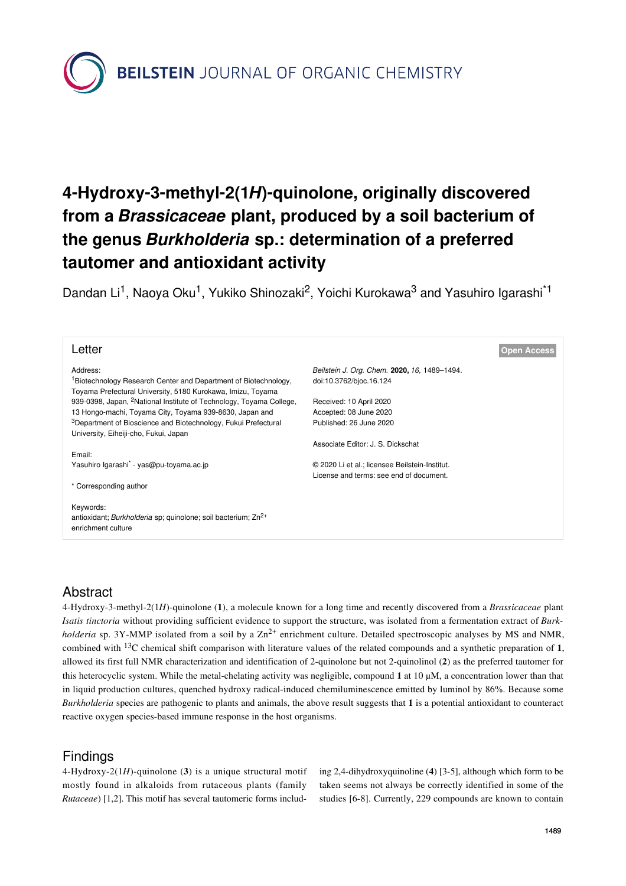**BEILSTEIN** JOURNAL OF ORGANIC CHEMISTRY

# **4-Hydroxy-3-methyl-2(1***H***)-quinolone, originally discovered from a** *Brassicaceae* **plant, produced by a soil bacterium of the genus** *Burkholderia* **sp.: determination of a preferred tautomer and antioxidant activity**

Dandan Li<sup>1</sup>, Naoya Oku<sup>1</sup>, Yukiko Shinozaki<sup>2</sup>, Yoichi Kurokawa<sup>3</sup> and Yasuhiro Igarashi<sup>\*1</sup>

| Letter                                                                                                                                     | <b>Open Access</b>                             |
|--------------------------------------------------------------------------------------------------------------------------------------------|------------------------------------------------|
| Address:                                                                                                                                   | Beilstein J. Org. Chem. 2020, 16, 1489-1494.   |
| <sup>1</sup> Biotechnology Research Center and Department of Biotechnology,<br>Toyama Prefectural University, 5180 Kurokawa, Imizu, Toyama | doi:10.3762/bjoc.16.124                        |
| 939-0398, Japan, <sup>2</sup> National Institute of Technology, Toyama College,                                                            | Received: 10 April 2020                        |
| 13 Hongo-machi, Toyama City, Toyama 939-8630, Japan and                                                                                    | Accepted: 08 June 2020                         |
| <sup>3</sup> Department of Bioscience and Biotechnology, Fukui Prefectural                                                                 | Published: 26 June 2020                        |
| University, Eiheiji-cho, Fukui, Japan                                                                                                      |                                                |
|                                                                                                                                            | Associate Editor: J. S. Dickschat              |
| Email:<br>Yasuhiro Igarashi <sup>*</sup> - yas@pu-toyama.ac.jp                                                                             | © 2020 Li et al.; licensee Beilstein-Institut. |
|                                                                                                                                            | License and terms: see end of document.        |
| * Corresponding author                                                                                                                     |                                                |
| Keywords:                                                                                                                                  |                                                |
| antioxidant; Burkholderia sp; quinolone; soil bacterium; Zn <sup>2+</sup>                                                                  |                                                |
| enrichment culture                                                                                                                         |                                                |
|                                                                                                                                            |                                                |

# Abstract

4-Hydroxy-3-methyl-2(1*H*)-quinolone (**1**), a molecule known for a long time and recently discovered from a *Brassicaceae* plant *Isatis tinctoria* without providing sufficient evidence to support the structure, was isolated from a fermentation extract of *Burkholderia* sp. 3Y-MMP isolated from a soil by a  $Zn^{2+}$  enrichment culture. Detailed spectroscopic analyses by MS and NMR, combined with 13C chemical shift comparison with literature values of the related compounds and a synthetic preparation of **1**, allowed its first full NMR characterization and identification of 2-quinolone but not 2-quinolinol (**2**) as the preferred tautomer for this heterocyclic system. While the metal-chelating activity was negligible, compound **1** at 10 μM, a concentration lower than that in liquid production cultures, quenched hydroxy radical-induced chemiluminescence emitted by luminol by 86%. Because some *Burkholderia* species are pathogenic to plants and animals, the above result suggests that **1** is a potential antioxidant to counteract reactive oxygen species-based immune response in the host organisms.

# **Findings**

4-Hydroxy-2(1*H*)-quinolone (**3**) is a unique structural motif mostly found in alkaloids from rutaceous plants (family *Rutaceae*) [\[1,2\]](#page-4-0). This motif has several tautomeric forms including 2,4-dihydroxyquinoline (**4**) [\[3-5\],](#page-4-1) although which form to be taken seems not always be correctly identified in some of the studies [\[6-8\]](#page-4-2). Currently, 229 compounds are known to contain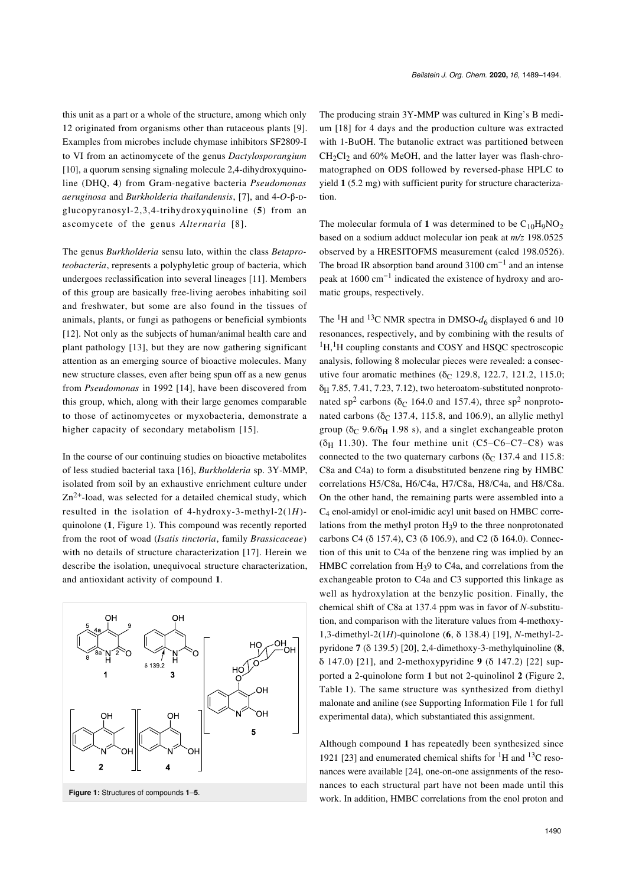this unit as a part or a whole of the structure, among which only 12 originated from organisms other than rutaceous plants [\[9\]](#page-4-3). Examples from microbes include chymase inhibitors SF2809-I to VI from an actinomycete of the genus *Dactylosporangium* [\[10\],](#page-4-4) a quorum sensing signaling molecule 2,4-dihydroxyquinoline (DHQ, **4**) from Gram-negative bacteria *Pseudomonas aeruginosa* and *Burkholderia thailandensis*, [\[7\]](#page-4-5), and 4-*O*-β-ᴅglucopyranosyl-2,3,4-trihydroxyquinoline (**5**) from an ascomycete of the genus *Alternaria* [\[8\]](#page-4-6).

The genus *Burkholderia* sensu lato, within the class *Betaproteobacteria*, represents a polyphyletic group of bacteria, which undergoes reclassification into several lineages [\[11\].](#page-4-7) Members of this group are basically free-living aerobes inhabiting soil and freshwater, but some are also found in the tissues of animals, plants, or fungi as pathogens or beneficial symbionts [\[12\].](#page-4-8) Not only as the subjects of human/animal health care and plant pathology [\[13\]](#page-4-9), but they are now gathering significant attention as an emerging source of bioactive molecules. Many new structure classes, even after being spun off as a new genus from *Pseudomonas* in 1992 [\[14\]](#page-5-0), have been discovered from this group, which, along with their large genomes comparable to those of actinomycetes or myxobacteria, demonstrate a higher capacity of secondary metabolism [\[15\]](#page-5-1).

In the course of our continuing studies on bioactive metabolites of less studied bacterial taxa [\[16\]](#page-5-2), *Burkholderia* sp. 3Y-MMP, isolated from soil by an exhaustive enrichment culture under  $Zn^{2+}$ -load, was selected for a detailed chemical study, which resulted in the isolation of 4-hydroxy-3-methyl-2(1*H*) quinolone (**1**, [Figure 1\)](#page-1-0). This compound was recently reported from the root of woad (*Isatis tinctoria*, family *Brassicaceae*) with no details of structure characterization [\[17\]](#page-5-3). Herein we describe the isolation, unequivocal structure characterization, and antioxidant activity of compound **1**.

<span id="page-1-0"></span>

The producing strain 3Y-MMP was cultured in King's B medium [\[18\]](#page-5-4) for 4 days and the production culture was extracted with 1-BuOH. The butanolic extract was partitioned between  $CH_2Cl_2$  and 60% MeOH, and the latter layer was flash-chromatographed on ODS followed by reversed-phase HPLC to yield **1** (5.2 mg) with sufficient purity for structure characterization.

The molecular formula of 1 was determined to be  $C_{10}H_9NO_2$ based on a sodium adduct molecular ion peak at *m/z* 198.0525 observed by a HRESITOFMS measurement (calcd 198.0526). The broad IR absorption band around 3100 cm−<sup>1</sup> and an intense peak at 1600 cm<sup>-1</sup> indicated the existence of hydroxy and aromatic groups, respectively.

The <sup>1</sup>H and <sup>13</sup>C NMR spectra in DMSO- $d_6$  displayed 6 and 10 resonances, respectively, and by combining with the results of <sup>1</sup>H,<sup>1</sup>H coupling constants and COSY and HSQC spectroscopic analysis, following 8 molecular pieces were revealed: a consecutive four aromatic methines (δ<sub>C</sub> 129.8, 122.7, 121.2, 115.0;  $\delta_H$  7.85, 7.41, 7.23, 7.12), two heteroatom-substituted nonprotonated sp<sup>2</sup> carbons ( $\delta$ <sub>C</sub> 164.0 and 157.4), three sp<sup>2</sup> nonprotonated carbons ( $\delta$ C 137.4, 115.8, and 106.9), an allylic methyl group ( $\delta_C$  9.6/ $\delta_H$  1.98 s), and a singlet exchangeable proton ( $\delta$ H 11.30). The four methine unit (C5–C6–C7–C8) was connected to the two quaternary carbons ( $\delta$  ( $\delta$  137.4 and 115.8: C8a and C4a) to form a disubstituted benzene ring by HMBC correlations H5/C8a, H6/C4a, H7/C8a, H8/C4a, and H8/C8a. On the other hand, the remaining parts were assembled into a C4 enol-amidyl or enol-imidic acyl unit based on HMBC correlations from the methyl proton H39 to the three nonprotonated carbons C4 (δ 157.4), C3 (δ 106.9), and C2 (δ 164.0). Connection of this unit to C4a of the benzene ring was implied by an HMBC correlation from H<sub>3</sub>9 to C4a, and correlations from the exchangeable proton to C4a and C3 supported this linkage as well as hydroxylation at the benzylic position. Finally, the chemical shift of C8a at 137.4 ppm was in favor of *N*-substitution, and comparison with the literature values from 4-methoxy-1,3-dimethyl-2(1*H*)-quinolone (**6**, δ 138.4) [\[19\]](#page-5-5), *N*-methyl-2 pyridone **7** (δ 139.5) [\[20\]](#page-5-6), 2,4-dimethoxy-3-methylquinoline (**8**, δ 147.0) [\[21\]](#page-5-7), and 2-methoxypyridine **9** (δ 147.2) [\[22\]](#page-5-8) supported a 2-quinolone form **1** but not 2-quinolinol **2** ([Figure 2](#page-2-0), [Table 1\)](#page-2-1). The same structure was synthesized from diethyl malonate and aniline (see [Supporting Information File 1](#page-4-10) for full experimental data), which substantiated this assignment.

Although compound **1** has repeatedly been synthesized since 1921 [\[23\]](#page-5-9) and enumerated chemical shifts for  ${}^{1}H$  and  ${}^{13}C$  resonances were available [\[24\]](#page-5-10), one-on-one assignments of the resonances to each structural part have not been made until this work. In addition, HMBC correlations from the enol proton and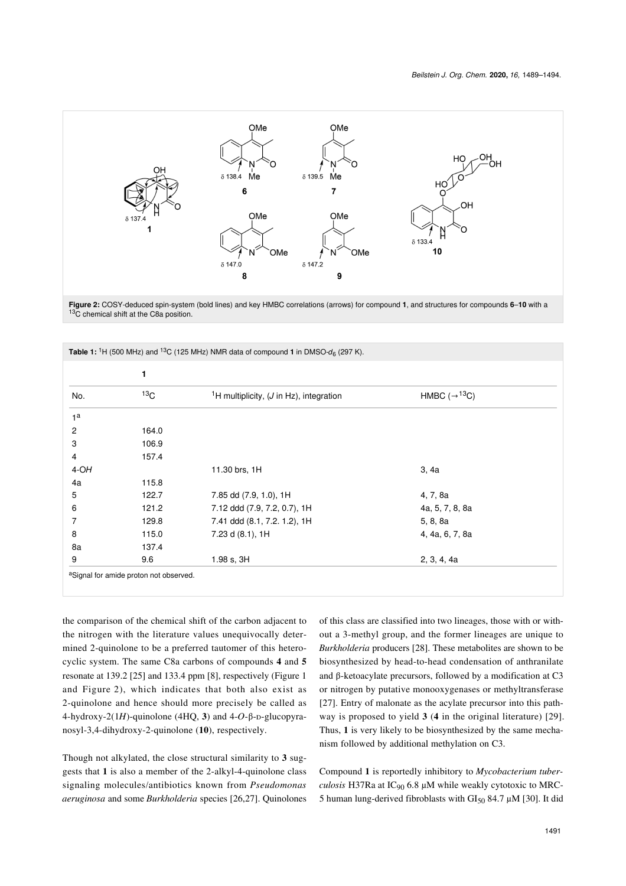<span id="page-2-0"></span>

**Figure 2:** COSY-deduced spin-system (bold lines) and key HMBC correlations (arrows) for compound **1**, and structures for compounds **6**–**10** with a 13<sub>C</sub> chemical shift at the C8a position.

<span id="page-2-1"></span>

|        | 1               |                                                                 |                                      |
|--------|-----------------|-----------------------------------------------------------------|--------------------------------------|
| No.    | 13 <sub>C</sub> | <sup>1</sup> H multiplicity, $(J \text{ in } Hz)$ , integration | HMBC $(\rightarrow$ <sup>13</sup> C) |
|        |                 |                                                                 |                                      |
|        | 164.0           |                                                                 |                                      |
|        | 106.9           |                                                                 |                                      |
|        | 157.4           |                                                                 |                                      |
| $4-OH$ |                 | 11.30 brs, 1H                                                   | 3, 4a                                |
|        | 115.8           |                                                                 |                                      |
|        | 122.7           | 7.85 dd (7.9, 1.0), 1H                                          | 4, 7, 8a                             |
|        | 121.2           | 7.12 ddd (7.9, 7.2, 0.7), 1H                                    | 4a, 5, 7, 8, 8a                      |
|        | 129.8           | 7.41 ddd (8.1, 7.2. 1.2), 1H                                    | 5, 8, 8a                             |
|        | 115.0           | 7.23 d (8.1), 1H                                                | 4, 4a, 6, 7, 8a                      |
|        | 137.4           |                                                                 |                                      |
|        | 9.6             | 1.98 s, 3H                                                      | 2, 3, 4, 4a                          |

the comparison of the chemical shift of the carbon adjacent to the nitrogen with the literature values unequivocally determined 2-quinolone to be a preferred tautomer of this heterocyclic system. The same C8a carbons of compounds **4** and **5** resonate at 139.2 [\[25\]](#page-5-11) and 133.4 ppm [\[8\],](#page-4-6) respectively [\(Figure 1](#page-1-0) and [Figure 2](#page-2-0)), which indicates that both also exist as 2-quinolone and hence should more precisely be called as 4-hydroxy-2(1*H*)-quinolone (4HQ, 3) and 4-O-β-D-glucopyranosyl-3,4-dihydroxy-2-quinolone (**10**), respectively.

Though not alkylated, the close structural similarity to **3** suggests that **1** is also a member of the 2-alkyl-4-quinolone class signaling molecules/antibiotics known from *Pseudomonas aeruginosa* and some *Burkholderia* species [\[26,27\]](#page-5-12). Quinolones

of this class are classified into two lineages, those with or without a 3-methyl group, and the former lineages are unique to *Burkholderia* producers [\[28\].](#page-5-13) These metabolites are shown to be biosynthesized by head-to-head condensation of anthranilate and β-ketoacylate precursors, followed by a modification at C3 or nitrogen by putative monooxygenases or methyltransferase [\[27\].](#page-5-14) Entry of malonate as the acylate precursor into this pathway is proposed to yield **3** (**4** in the original literature) [\[29\]](#page-5-15). Thus, **1** is very likely to be biosynthesized by the same mechanism followed by additional methylation on C3.

Compound **1** is reportedly inhibitory to *Mycobacterium tuberculosis* H37Ra at  $IC_{90}$  6.8  $\mu$ M while weakly cytotoxic to MRC-5 human lung-derived fibroblasts with  $GI_{50}$  84.7 µM [\[30\].](#page-5-16) It did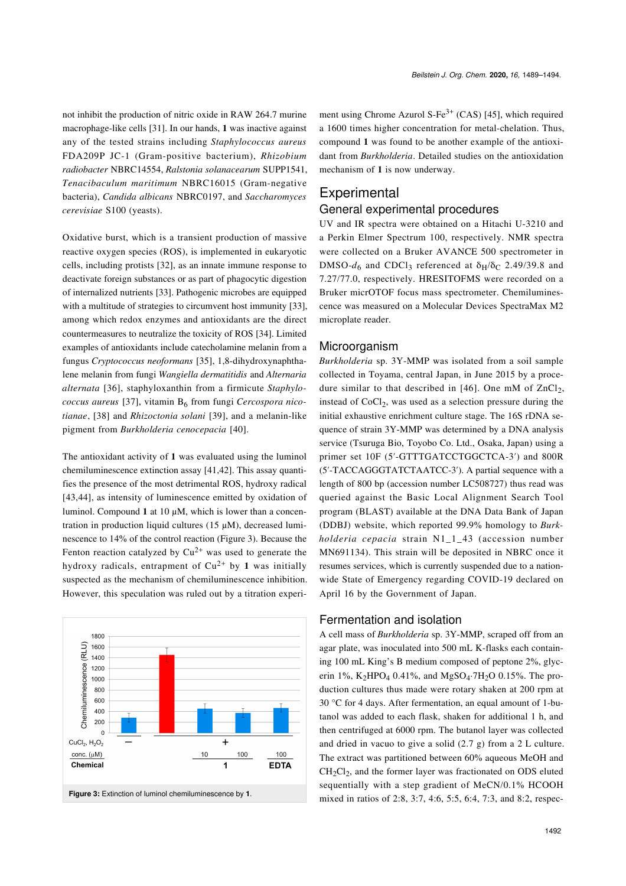not inhibit the production of nitric oxide in RAW 264.7 murine macrophage-like cells [\[31\].](#page-5-17) In our hands, **1** was inactive against any of the tested strains including *Staphylococcus aureus* FDA209P JC-1 (Gram-positive bacterium), *Rhizobium radiobacter* NBRC14554, *Ralstonia solanacearum* SUPP1541, *Tenacibaculum maritimum* NBRC16015 (Gram-negative bacteria), *Candida albicans* NBRC0197, and *Saccharomyces cerevisiae* S100 (yeasts).

Oxidative burst, which is a transient production of massive reactive oxygen species (ROS), is implemented in eukaryotic cells, including protists [\[32\]](#page-5-18), as an innate immune response to deactivate foreign substances or as part of phagocytic digestion of internalized nutrients [\[33\].](#page-5-19) Pathogenic microbes are equipped with a multitude of strategies to circumvent host immunity [\[33\]](#page-5-19), among which redox enzymes and antioxidants are the direct countermeasures to neutralize the toxicity of ROS [\[34\]](#page-5-20). Limited examples of antioxidants include catecholamine melanin from a fungus *Cryptococcus neoformans* [\[35\],](#page-5-21) 1,8-dihydroxynaphthalene melanin from fungi *Wangiella dermatitidis* and *Alternaria alternata* [\[36\]](#page-5-22), staphyloxanthin from a firmicute *Staphylococcus aureus* [\[37\],](#page-5-23) vitamin B<sub>6</sub> from fungi *Cercospora nicotianae*, [\[38\]](#page-5-24) and *Rhizoctonia solani* [\[39\]](#page-5-25), and a melanin-like pigment from *Burkholderia cenocepacia* [\[40\]](#page-5-26).

The antioxidant activity of **1** was evaluated using the luminol chemiluminescence extinction assay [\[41,42\]](#page-5-27). This assay quantifies the presence of the most detrimental ROS, hydroxy radical [\[43,44\],](#page-5-28) as intensity of luminescence emitted by oxidation of luminol. Compound **1** at 10 μM, which is lower than a concentration in production liquid cultures (15 μM), decreased luminescence to 14% of the control reaction [\(Figure 3](#page-3-0)). Because the Fenton reaction catalyzed by  $Cu^{2+}$  was used to generate the hydroxy radicals, entrapment of  $Cu^{2+}$  by 1 was initially suspected as the mechanism of chemiluminescence inhibition. However, this speculation was ruled out by a titration experi-



# **Experimental**

### General experimental procedures

mechanism of **1** is now underway.

UV and IR spectra were obtained on a Hitachi U-3210 and a Perkin Elmer Spectrum 100, respectively. NMR spectra were collected on a Bruker AVANCE 500 spectrometer in DMSO- $d_6$  and CDCl<sub>3</sub> referenced at  $\delta_H/\delta_C$  2.49/39.8 and 7.27/77.0, respectively. HRESITOFMS were recorded on a Bruker micrOTOF focus mass spectrometer. Chemiluminescence was measured on a Molecular Devices SpectraMax M2 microplate reader.

#### Microorganism

*Burkholderia* sp. 3Y-MMP was isolated from a soil sample collected in Toyama, central Japan, in June 2015 by a proce-dure similar to that described in [\[46\]](#page-5-30). One mM of  $ZnCl<sub>2</sub>$ , instead of  $CoCl<sub>2</sub>$ , was used as a selection pressure during the initial exhaustive enrichment culture stage. The 16S rDNA sequence of strain 3Y-MMP was determined by a DNA analysis service (Tsuruga Bio, Toyobo Co. Ltd., Osaka, Japan) using a primer set 10F (5′-GTTTGATCCTGGCTCA-3′) and 800R (5′-TACCAGGGTATCTAATCC-3′). A partial sequence with a length of 800 bp (accession number LC508727) thus read was queried against the Basic Local Alignment Search Tool program (BLAST) available at the DNA Data Bank of Japan (DDBJ) website, which reported 99.9% homology to *Burkholderia cepacia* strain N1\_1\_43 (accession number MN691134). This strain will be deposited in NBRC once it resumes services, which is currently suspended due to a nationwide State of Emergency regarding COVID-19 declared on April 16 by the Government of Japan.



agar plate, was inoculated into 500 mL K-flasks each containing 100 mL King's B medium composed of peptone 2%, glycerin 1%, K<sub>2</sub>HPO<sub>4</sub> 0.41%, and MgSO<sub>4</sub>·7H<sub>2</sub>O 0.15%. The production cultures thus made were rotary shaken at 200 rpm at 30 °C for 4 days. After fermentation, an equal amount of 1-butanol was added to each flask, shaken for additional 1 h, and then centrifuged at 6000 rpm. The butanol layer was collected and dried in vacuo to give a solid (2.7 g) from a 2 L culture. The extract was partitioned between 60% aqueous MeOH and  $CH<sub>2</sub>Cl<sub>2</sub>$ , and the former layer was fractionated on ODS eluted sequentially with a step gradient of MeCN/0.1% HCOOH mixed in ratios of 2:8, 3:7, 4:6, 5:5, 6:4, 7:3, and 8:2, respec-

Fermentation and isolation



<span id="page-3-0"></span>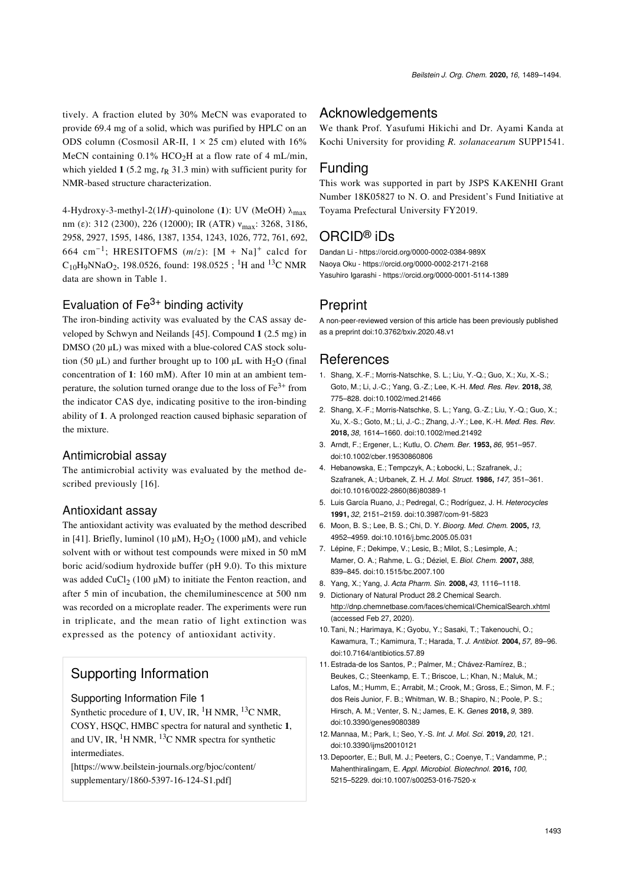tively. A fraction eluted by 30% MeCN was evaporated to provide 69.4 mg of a solid, which was purified by HPLC on an ODS column (Cosmosil AR-II,  $1 \times 25$  cm) eluted with  $16\%$ MeCN containing  $0.1\%$  HCO<sub>2</sub>H at a flow rate of 4 mL/min, which yielded  $\mathbf{1}$  (5.2 mg,  $t_{\text{R}}$  31.3 min) with sufficient purity for NMR-based structure characterization.

4-Hydroxy-3-methyl-2(1*H*)-quinolone (1): UV (MeOH)  $\lambda_{\text{max}}$ nm (ε): 312 (2300), 226 (12000); IR (ATR)  $v_{\text{max}}$ : 3268, 3186, 2958, 2927, 1595, 1486, 1387, 1354, 1243, 1026, 772, 761, 692, 664 cm<sup>-1</sup>; HRESITOFMS  $(m/z)$ : [M + Na]<sup>+</sup> calcd for  $C_{10}H_9NNaO_2$ , 198.0526, found: 198.0525; <sup>1</sup>H and <sup>13</sup>C NMR data are shown in [Table 1](#page-2-1).

### Evaluation of  $Fe<sup>3+</sup>$  binding activity

The iron-binding activity was evaluated by the CAS assay developed by Schwyn and Neilands [\[45\]](#page-5-29). Compound **1** (2.5 mg) in DMSO (20 μL) was mixed with a blue-colored CAS stock solution (50 μL) and further brought up to 100 μL with H<sub>2</sub>O (final concentration of **1**: 160 mM). After 10 min at an ambient temperature, the solution turned orange due to the loss of  $Fe<sup>3+</sup>$  from the indicator CAS dye, indicating positive to the iron-binding ability of **1**. A prolonged reaction caused biphasic separation of the mixture.

#### Antimicrobial assay

The antimicrobial activity was evaluated by the method de-scribed previously [\[16\]](#page-5-2).

#### Antioxidant assay

The antioxidant activity was evaluated by the method described in [\[41\].](#page-5-27) Briefly, luminol (10  $\mu$ M), H<sub>2</sub>O<sub>2</sub> (1000  $\mu$ M), and vehicle solvent with or without test compounds were mixed in 50 mM boric acid/sodium hydroxide buffer (pH 9.0). To this mixture was added CuCl<sub>2</sub> (100  $\mu$ M) to initiate the Fenton reaction, and after 5 min of incubation, the chemiluminescence at 500 nm was recorded on a microplate reader. The experiments were run in triplicate, and the mean ratio of light extinction was expressed as the potency of antioxidant activity.

# Supporting Information

#### <span id="page-4-10"></span>Supporting Information File 1

Synthetic procedure of 1, UV, IR,  ${}^{1}$ H NMR,  ${}^{13}$ C NMR, COSY, HSQC, HMBC spectra for natural and synthetic **1**, and UV, IR,  ${}^{1}$ H NMR,  ${}^{13}$ C NMR spectra for synthetic intermediates.

[\[https://www.beilstein-journals.org/bjoc/content/](https://www.beilstein-journals.org/bjoc/content/supplementary/1860-5397-16-124-S1.pdf) [supplementary/1860-5397-16-124-S1.pdf\]](https://www.beilstein-journals.org/bjoc/content/supplementary/1860-5397-16-124-S1.pdf)

### **Acknowledgements**

We thank Prof. Yasufumi Hikichi and Dr. Ayami Kanda at Kochi University for providing *R. solanacearum* SUPP1541.

# Funding

This work was supported in part by JSPS KAKENHI Grant Number 18K05827 to N. O. and President's Fund Initiative at Toyama Prefectural University FY2019.

# ORCID® iDs

Dandan Li - <https://orcid.org/0000-0002-0384-989X> Naoya Oku - <https://orcid.org/0000-0002-2171-2168> Yasuhiro Igarashi -<https://orcid.org/0000-0001-5114-1389>

# **Preprint**

A non-peer-reviewed version of this article has been previously published as a preprint [doi:10.3762/bxiv.2020.48.v1](https://doi.org/10.3762/bxiv.2020.48.v1)

# References

- <span id="page-4-0"></span>1. Shang, X.-F.; Morris-Natschke, S. L.; Liu, Y.-Q.; Guo, X.; Xu, X.-S.; Goto, M.; Li, J.-C.; Yang, G.-Z.; Lee, K.-H. *Med. Res. Rev.* **2018,** *38,* 775–828. [doi:10.1002/med.21466](https://doi.org/10.1002%2Fmed.21466)
- 2. Shang, X.-F.; Morris-Natschke, S. L.; Yang, G.-Z.; Liu, Y.-Q.; Guo, X.; Xu, X.-S.; Goto, M.; Li, J.-C.; Zhang, J.-Y.; Lee, K.-H. *Med. Res. Rev.* **2018,** *38,* 1614–1660. [doi:10.1002/med.21492](https://doi.org/10.1002%2Fmed.21492)
- <span id="page-4-1"></span>3. Arndt, F.; Ergener, L.; Kutlu, O. *Chem. Ber.* **1953,** *86,* 951–957. [doi:10.1002/cber.19530860806](https://doi.org/10.1002%2Fcber.19530860806)
- 4. Hebanowska, E.; Tempczyk, A.; Łobocki, L.; Szafranek, J.; Szafranek, A.; Urbanek, Z. H. *J. Mol. Struct.* **1986,** *147,* 351–361. [doi:10.1016/0022-2860\(86\)80389-1](https://doi.org/10.1016%2F0022-2860%2886%2980389-1)
- 5. Luis García Ruano, J.; Pedregal, C.; Rodríguez, J. H. *Heterocycles* **1991,** *32,* 2151–2159. [doi:10.3987/com-91-5823](https://doi.org/10.3987%2Fcom-91-5823)
- <span id="page-4-2"></span>6. Moon, B. S.; Lee, B. S.; Chi, D. Y. *Bioorg. Med. Chem.* **2005,** *13,* 4952–4959. [doi:10.1016/j.bmc.2005.05.031](https://doi.org/10.1016%2Fj.bmc.2005.05.031)
- <span id="page-4-5"></span>7. Lépine, F.; Dekimpe, V.; Lesic, B.; Milot, S.; Lesimple, A.; Mamer, O. A.; Rahme, L. G.; Déziel, E. *Biol. Chem.* **2007,** *388,* 839–845. [doi:10.1515/bc.2007.100](https://doi.org/10.1515%2Fbc.2007.100)
- <span id="page-4-6"></span>8. Yang, X.; Yang, J. *Acta Pharm. Sin.* **2008,** *43,* 1116–1118.
- <span id="page-4-3"></span>9. Dictionary of Natural Product 28.2 Chemical Search. <http://dnp.chemnetbase.com/faces/chemical/ChemicalSearch.xhtml> (accessed Feb 27, 2020).
- <span id="page-4-4"></span>10.Tani, N.; Harimaya, K.; Gyobu, Y.; Sasaki, T.; Takenouchi, O.; Kawamura, T.; Kamimura, T.; Harada, T. *J. Antibiot.* **2004,** *57,* 89–96. [doi:10.7164/antibiotics.57.89](https://doi.org/10.7164%2Fantibiotics.57.89)
- <span id="page-4-7"></span>11.Estrada-de los Santos, P.; Palmer, M.; Chávez-Ramírez, B.; Beukes, C.; Steenkamp, E. T.; Briscoe, L.; Khan, N.; Maluk, M.; Lafos, M.; Humm, E.; Arrabit, M.; Crook, M.; Gross, E.; Simon, M. F.; dos Reis Junior, F. B.; Whitman, W. B.; Shapiro, N.; Poole, P. S.; Hirsch, A. M.; Venter, S. N.; James, E. K. *Genes* **2018,** *9,* 389. [doi:10.3390/genes9080389](https://doi.org/10.3390%2Fgenes9080389)
- <span id="page-4-8"></span>12. Mannaa, M.; Park, I.; Seo, Y.-S. *Int. J. Mol. Sci.* **2019,** *20,* 121. [doi:10.3390/ijms20010121](https://doi.org/10.3390%2Fijms20010121)
- <span id="page-4-9"></span>13. Depoorter, E.; Bull, M. J.; Peeters, C.; Coenye, T.; Vandamme, P.; Mahenthiralingam, E. *Appl. Microbiol. Biotechnol.* **2016,** *100,* 5215–5229. [doi:10.1007/s00253-016-7520-x](https://doi.org/10.1007%2Fs00253-016-7520-x)